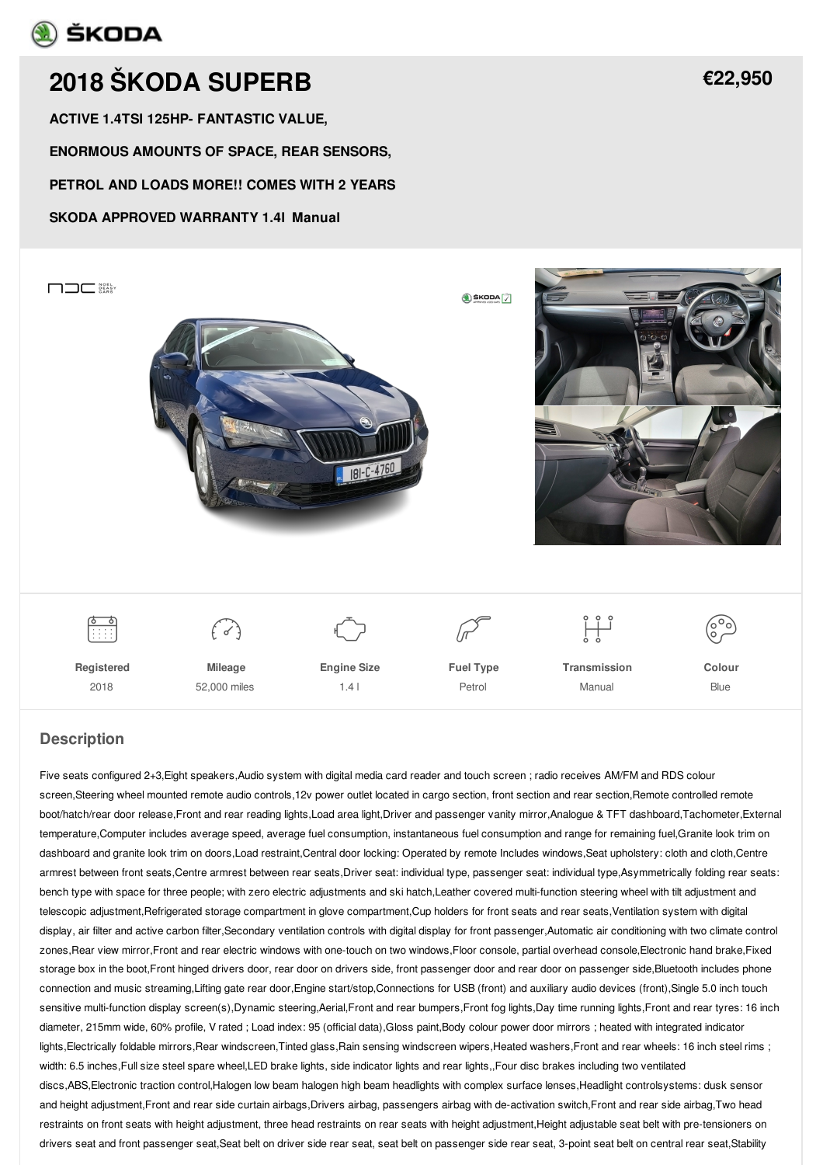## **A** ŠKODA

# **2018 ŠKODA [SUPERB](/used-cars/pdf/)**

**ACTIVE 1.4TSI 125HP- FANTASTIC VALUE,**

**ENORMOUS AMOUNTS OF SPACE, REAR SENSORS,**

**PETROL AND LOADS MORE!! COMES WITH 2 YEARS**

#### **SKODA APPROVED WARRANTY 1.4l Manual**



#### **Description**

Five seats configured 2+3,Eight speakers,Audio system with digital media card reader and touch screen ; radio receives AM/FM and RDS colour screen,Steering wheel mounted remote audio controls,12v power outlet located in cargo section, front section and rear section,Remote controlled remote boot/hatch/rear door release,Front and rear reading lights,Load area light,Driver and passenger vanity mirror,Analogue & TFT dashboard,Tachometer,External temperature,Computer includes average speed, average fuel consumption, instantaneous fuel consumption and range for remaining fuel,Granite look trim on dashboard and granite look trim on doors,Load restraint,Central door locking: Operated by remote Includes windows,Seat upholstery: cloth and cloth,Centre armrest between front seats,Centre armrest between rear seats,Driver seat: individual type, passenger seat: individual type,Asymmetrically folding rear seats: bench type with space for three people; with zero electric adjustments and ski hatch,Leather covered multi-function steering wheel with tilt adjustment and telescopic adjustment,Refrigerated storage compartment in glove compartment,Cup holders for front seats and rear seats,Ventilation system with digital display, air filter and active carbon filter,Secondary ventilation controls with digital display for front passenger,Automatic air conditioning with two climate control zones,Rear view mirror,Front and rear electric windows with one-touch on two windows,Floor console, partial overhead console,Electronic hand brake,Fixed storage box in the boot,Front hinged drivers door, rear door on drivers side, front passenger door and rear door on passenger side,Bluetooth includes phone connection and music streaming,Lifting gate rear door,Engine start/stop,Connections for USB (front) and auxiliary audio devices (front),Single 5.0 inch touch sensitive multi-function display screen(s),Dynamic steering,Aerial,Front and rear bumpers,Front fog lights,Day time running lights,Front and rear tyres: 16 inch diameter, 215mm wide, 60% profile, V rated ; Load index: 95 (official data),Gloss paint,Body colour power door mirrors ; heated with integrated indicator lights,Electrically foldable mirrors,Rear windscreen,Tinted glass,Rain sensing windscreen wipers,Heated washers,Front and rear wheels: 16 inch steel rims ; width: 6.5 inches,Full size steel spare wheel,LED brake lights, side indicator lights and rear lights,,Four disc brakes including two ventilated discs,ABS,Electronic traction control,Halogen low beam halogen high beam headlights with complex surface lenses,Headlight controlsystems: dusk sensor and height adjustment,Front and rear side curtain airbags,Drivers airbag, passengers airbag with de-activation switch,Front and rear side airbag,Two head restraints on front seats with height adjustment, three head restraints on rear seats with height adjustment,Height adjustable seat belt with pre-tensioners on drivers seat and front passenger seat,Seat belt on driver side rear seat, seat belt on passenger side rear seat, 3-point seat belt on central rear seat,Stability

**[€22,950](/used-cars/pdf/)**